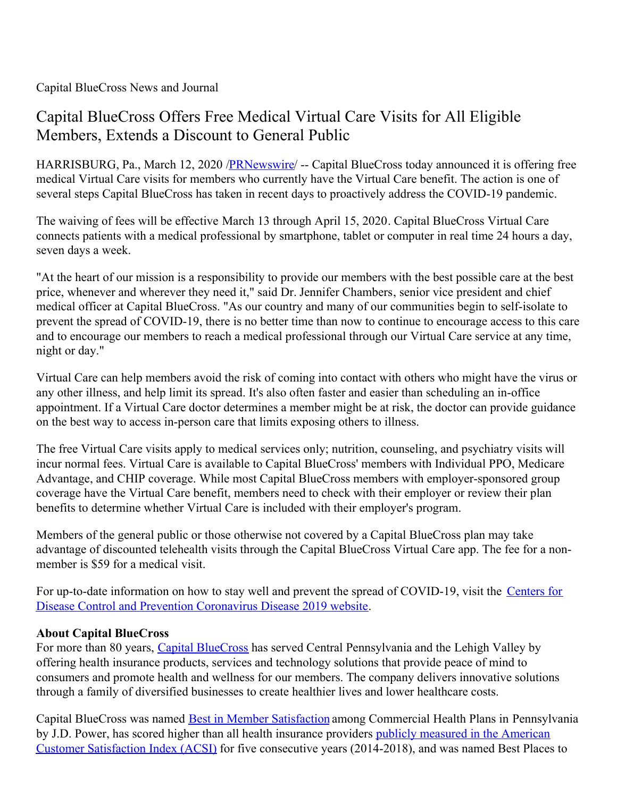Capital BlueCross News and Journal

## Capital BlueCross Offers Free Medical Virtual Care Visits for All Eligible Members, Extends a Discount to General Public

HARRISBURG, Pa., March 12, 2020 /**PRNewswire/** -- Capital BlueCross today announced it is offering free medical Virtual Care visits for members who currently have the Virtual Care benefit. The action is one of several steps Capital BlueCross has taken in recent days to proactively address the COVID-19 pandemic.

The waiving of fees will be effective March 13 through April 15, 2020. Capital BlueCross Virtual Care connects patients with a medical professional by smartphone, tablet or computer in real time 24 hours a day, seven days a week.

"At the heart of our mission is a responsibility to provide our members with the best possible care at the best price, whenever and wherever they need it," said Dr. Jennifer Chambers, senior vice president and chief medical officer at Capital BlueCross. "As our country and many of our communities begin to self-isolate to prevent the spread of COVID-19, there is no better time than now to continue to encourage access to this care and to encourage our members to reach a medical professional through our Virtual Care service at any time, night or day."

Virtual Care can help members avoid the risk of coming into contact with others who might have the virus or any other illness, and help limit its spread. It's also often faster and easier than scheduling an in-office appointment. If a Virtual Care doctor determines a member might be at risk, the doctor can provide guidance on the best way to access in-person care that limits exposing others to illness.

The free Virtual Care visits apply to medical services only; nutrition, counseling, and psychiatry visits will incur normal fees. Virtual Care is available to Capital BlueCross' members with Individual PPO, Medicare Advantage, and CHIP coverage. While most Capital BlueCross members with employer-sponsored group coverage have the Virtual Care benefit, members need to check with their employer or review their plan benefits to determine whether Virtual Care is included with their employer's program.

Members of the general public or those otherwise not covered by a Capital BlueCross plan may take advantage of discounted telehealth visits through the Capital BlueCross Virtual Care app. The fee for a nonmember is \$59 for a medical visit.

For up-to-date information on how to stay well and prevent the spread of [COVID-19,](https://c212.net/c/link/?t=0&l=en&o=2749025-1&h=773964019&u=https%3A%2F%2Fwww.cdc.gov%2Fcoronavirus%2F2019-ncov%2Findex.html&a=Centers+for+Disease+Control+and+Prevention+Coronavirus+Disease+2019+website) visit the Centers for Disease Control and Prevention Coronavirus Disease 2019 website.

## **About Capital BlueCross**

For more than 80 years, Capital [BlueCross](https://c212.net/c/link/?t=0&l=en&o=2749025-1&h=3774931184&u=https%3A%2F%2Fwww.capbluecross.com%2F&a=Capital+BlueCross) has served Central Pennsylvania and the Lehigh Valley by offering health insurance products, services and technology solutions that provide peace of mind to consumers and promote health and wellness for our members. The company delivers innovative solutions through a family of diversified businesses to create healthier lives and lower healthcare costs.

Capital BlueCross was named Best in Member [Satisfaction](https://c212.net/c/link/?t=0&l=en&o=2749025-1&h=3860374944&u=https%3A%2F%2Fc212.net%2Fc%2Flink%2F%3Ft%3D0%26l%3Den%26o%3D2702314-1%26h%3D128654613%26u%3Dhttp%253A%252F%252Fcapbluecross.mediaroom.com%252F2019-05-09-Capital-BlueCross-Earns-J-D-Power-Award-Ranks-Highest-in-Pennsylvania-for-Overall-Member-Satisfaction%26a%3DBest%2Bin%2BMember%2BSatisfaction&a=Best+in+Member+Satisfaction) among Commercial Health Plans in Pennsylvania by J.D. Power, has scored higher than all health insurance providers publicly measured in the American Customer Satisfaction Index (ACSI) for five consecutive years [\(2014-2018\),](https://c212.net/c/link/?t=0&l=en&o=2749025-1&h=421355847&u=https%3A%2F%2Fc212.net%2Fc%2Flink%2F%3Ft%3D0%26l%3Den%26o%3D2702314-1%26h%3D3941707264%26u%3Dhttp%253A%252F%252Fcapbluecross.mediaroom.com%252F2019-02-26-Capital-BlueCross-Tops-Industry-Average-for-Fifth-Straight-Year-for-Customer-Satisfaction%26a%3Dpublicly%2Bmeasured%2Bin%2Bthe%2BAmerican%2BCustomer%2BSatisfaction%2BIndex%2B(ACSI)&a=publicly+measured+in+the+American+Customer+Satisfaction+Index+(ACSI)) and was named Best Places to